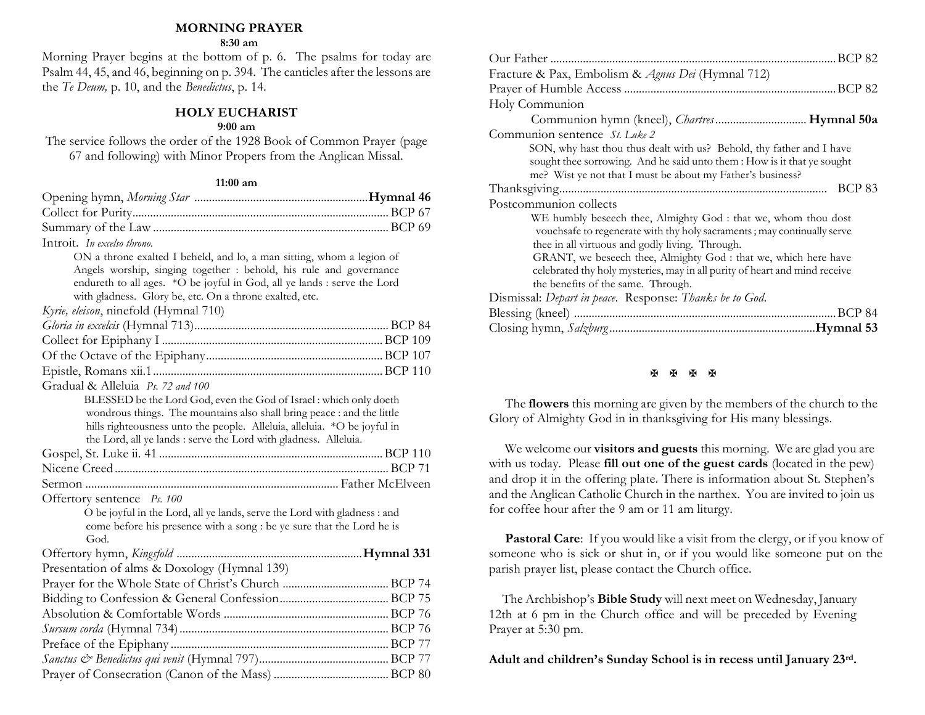#### **MORNING PRAYER**

#### **8:30 am**

Morning Prayer begins at the bottom of p. 6. The psalms for today are Psalm 44, 45, and 46, beginning on p. 394. The canticles after the lessons are the *Te Deum,* p. 10, and the *Benedictus*, p. 14.

#### **HOLY EUCHARIST**

#### **9:00 am**

The service follows the order of the 1928 Book of Common Prayer (page 67 and following) with Minor Propers from the Anglican Missal.

#### **11:00 am**

| Introit. In excelso throno.                                                                                                                        |  |
|----------------------------------------------------------------------------------------------------------------------------------------------------|--|
| ON a throne exalted I beheld, and lo, a man sitting, whom a legion of                                                                              |  |
| Angels worship, singing together : behold, his rule and governance                                                                                 |  |
| endureth to all ages. *O be joyful in God, all ye lands : serve the Lord                                                                           |  |
| with gladness. Glory be, etc. On a throne exalted, etc.                                                                                            |  |
| Kyrie, eleison, ninefold (Hymnal 710)                                                                                                              |  |
|                                                                                                                                                    |  |
|                                                                                                                                                    |  |
|                                                                                                                                                    |  |
|                                                                                                                                                    |  |
| Gradual & Alleluia Ps. 72 and 100                                                                                                                  |  |
| BLESSED be the Lord God, even the God of Israel: which only doeth                                                                                  |  |
| wondrous things. The mountains also shall bring peace : and the little                                                                             |  |
| hills righteousness unto the people. Alleluia, alleluia. *O be joyful in                                                                           |  |
| the Lord, all ye lands : serve the Lord with gladness. Alleluia.                                                                                   |  |
|                                                                                                                                                    |  |
|                                                                                                                                                    |  |
|                                                                                                                                                    |  |
| Offertory sentence Ps. 100                                                                                                                         |  |
| O be joyful in the Lord, all ye lands, serve the Lord with gladness : and<br>come before his presence with a song : be ye sure that the Lord he is |  |
| God.                                                                                                                                               |  |
|                                                                                                                                                    |  |
| Presentation of alms & Doxology (Hymnal 139)                                                                                                       |  |
|                                                                                                                                                    |  |
|                                                                                                                                                    |  |
|                                                                                                                                                    |  |
|                                                                                                                                                    |  |
|                                                                                                                                                    |  |
|                                                                                                                                                    |  |
|                                                                                                                                                    |  |
|                                                                                                                                                    |  |

| Fracture & Pax, Embolism & Agnus Dei (Hymnal 712)                                                                                                                                                                                                                                                                                                                                   |
|-------------------------------------------------------------------------------------------------------------------------------------------------------------------------------------------------------------------------------------------------------------------------------------------------------------------------------------------------------------------------------------|
|                                                                                                                                                                                                                                                                                                                                                                                     |
| Holy Communion                                                                                                                                                                                                                                                                                                                                                                      |
|                                                                                                                                                                                                                                                                                                                                                                                     |
| Communion sentence St. Luke 2                                                                                                                                                                                                                                                                                                                                                       |
| SON, why hast thou thus dealt with us? Behold, thy father and I have<br>sought thee sorrowing. And he said unto them : How is it that ye sought<br>me? Wist ye not that I must be about my Father's business?                                                                                                                                                                       |
| <b>BCP 83</b>                                                                                                                                                                                                                                                                                                                                                                       |
| Postcommunion collects                                                                                                                                                                                                                                                                                                                                                              |
| WE humbly beseech thee, Almighty God : that we, whom thou dost<br>vouchsafe to regenerate with thy holy sacraments; may continually serve<br>thee in all virtuous and godly living. Through.<br>GRANT, we beseech thee, Almighty God : that we, which here have<br>celebrated thy holy mysteries, may in all purity of heart and mind receive<br>the benefits of the same. Through. |
| Dismissal: Depart in peace. Response: Thanks be to God.                                                                                                                                                                                                                                                                                                                             |
|                                                                                                                                                                                                                                                                                                                                                                                     |
|                                                                                                                                                                                                                                                                                                                                                                                     |

## **H H H H**

The **flowers** this morning are given by the members of the church to the Glory of Almighty God in in thanksgiving for His many blessings.

We welcome our **visitors and guests** this morning. We are glad you are with us today. Please **fill out one of the guest cards** (located in the pew) and drop it in the offering plate. There is information about St. Stephen's and the Anglican Catholic Church in the narthex. You are invited to join us for coffee hour after the 9 am or 11 am liturgy.

**Pastoral Care:** If you would like a visit from the clergy, or if you know of someone who is sick or shut in, or if you would like someone put on the parish prayer list, please contact the Church office.

 The Archbishop's **Bible Study** will next meet on Wednesday, January 12th at 6 pm in the Church office and will be preceded by Evening Prayer at 5:30 pm.

**Adult and children's Sunday School is in recess until January 23rd.**